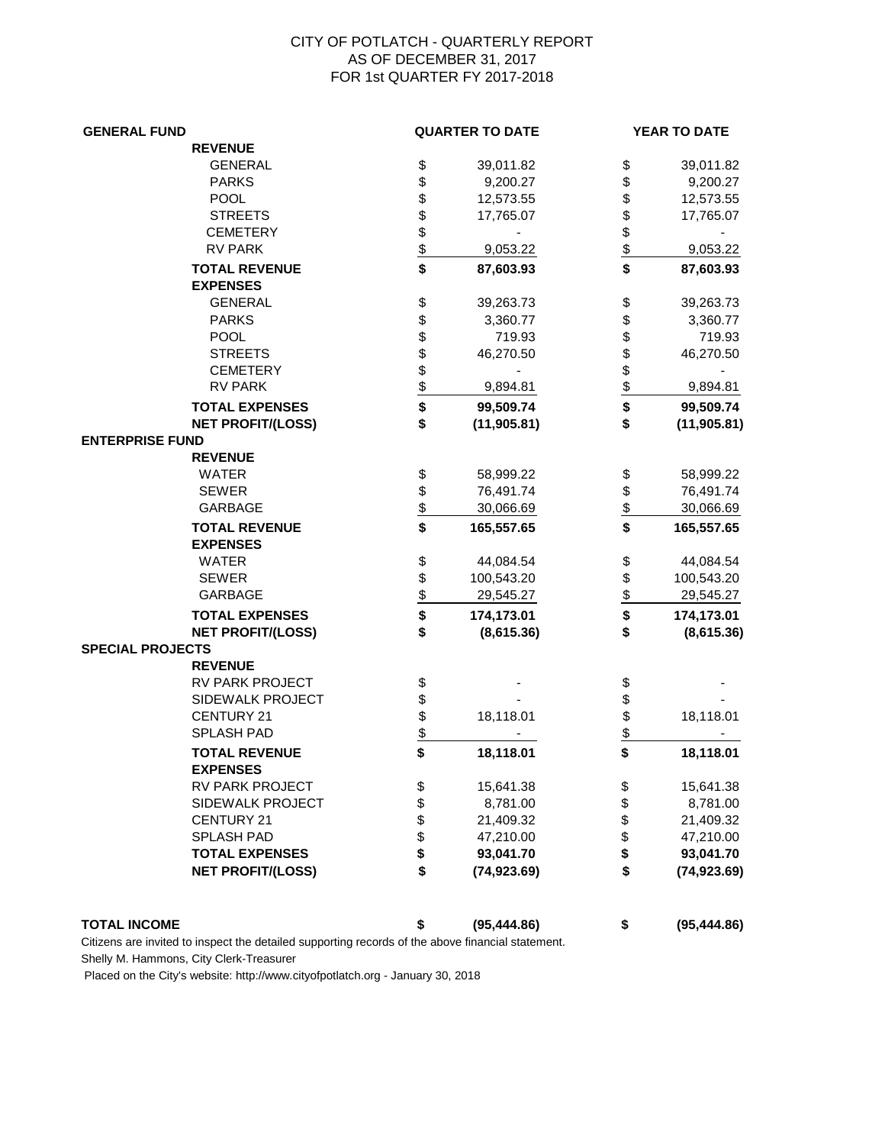## CITY OF POTLATCH - QUARTERLY REPORT AS OF DECEMBER 31, 2017 FOR 1st QUARTER FY 2017-2018

| <b>GENERAL FUND</b>     |                                         |                      | <b>QUARTER TO DATE</b> |                    | YEAR TO DATE |  |
|-------------------------|-----------------------------------------|----------------------|------------------------|--------------------|--------------|--|
|                         | <b>REVENUE</b>                          |                      |                        |                    |              |  |
|                         | <b>GENERAL</b>                          |                      | 39,011.82              | \$                 | 39,011.82    |  |
|                         | <b>PARKS</b>                            |                      | 9,200.27               | \$                 | 9,200.27     |  |
|                         | <b>POOL</b>                             |                      | 12,573.55              | \$                 | 12,573.55    |  |
|                         | <b>STREETS</b>                          |                      | 17,765.07              | \$                 | 17,765.07    |  |
|                         | <b>CEMETERY</b>                         |                      |                        | \$                 |              |  |
|                         | <b>RV PARK</b>                          |                      | 9,053.22               |                    | 9,053.22     |  |
|                         | <b>TOTAL REVENUE</b><br><b>EXPENSES</b> | \$<br>\$\$\$\$\$\$\$ | 87,603.93              | $\frac{3}{5}$      | 87,603.93    |  |
|                         | <b>GENERAL</b>                          |                      | 39,263.73              | \$                 | 39,263.73    |  |
|                         | <b>PARKS</b>                            |                      | 3,360.77               | \$                 | 3,360.77     |  |
|                         | <b>POOL</b>                             |                      | 719.93                 | \$                 | 719.93       |  |
|                         | <b>STREETS</b>                          |                      | 46,270.50              | \$                 | 46,270.50    |  |
|                         | <b>CEMETERY</b>                         |                      |                        |                    |              |  |
|                         | <b>RV PARK</b>                          |                      | 9,894.81               |                    | 9,894.81     |  |
|                         | <b>TOTAL EXPENSES</b>                   |                      | 99,509.74              | $rac{6}{2}$        | 99,509.74    |  |
|                         | <b>NET PROFIT/(LOSS)</b>                | \$\$\$\$\$\$\$\$\$   | (11, 905.81)           | \$                 | (11, 905.81) |  |
| <b>ENTERPRISE FUND</b>  |                                         |                      |                        |                    |              |  |
|                         | <b>REVENUE</b>                          |                      |                        |                    |              |  |
|                         | <b>WATER</b>                            |                      | 58,999.22              | \$                 | 58,999.22    |  |
|                         | <b>SEWER</b>                            |                      | 76,491.74              | \$                 | 76,491.74    |  |
|                         | <b>GARBAGE</b>                          | \$\$\$\$             | 30,066.69              | $\frac{1}{2}$      | 30,066.69    |  |
|                         | <b>TOTAL REVENUE</b>                    |                      | 165,557.65             | $\hat{\mathbf{s}}$ | 165,557.65   |  |
|                         | <b>EXPENSES</b><br><b>WATER</b>         |                      |                        |                    |              |  |
|                         | <b>SEWER</b>                            |                      | 44,084.54              | \$                 | 44,084.54    |  |
|                         | <b>GARBAGE</b>                          |                      | 100,543.20             | $\frac{6}{5}$      | 100,543.20   |  |
|                         |                                         |                      | 29,545.27              |                    | 29,545.27    |  |
|                         | <b>TOTAL EXPENSES</b>                   | \$\$\$\$\$           | 174,173.01             | \$                 | 174,173.01   |  |
|                         | <b>NET PROFIT/(LOSS)</b>                |                      | (8,615.36)             | \$                 | (8,615.36)   |  |
| <b>SPECIAL PROJECTS</b> |                                         |                      |                        |                    |              |  |
|                         | <b>REVENUE</b>                          |                      |                        |                    |              |  |
|                         | RV PARK PROJECT                         | \$                   |                        | \$<br>\$           |              |  |
|                         | SIDEWALK PROJECT<br>CENTURY 21          |                      | 18,118.01              | \$                 | 18,118.01    |  |
|                         | SPLASH PAD                              | \$\$\$\$             |                        | \$                 |              |  |
|                         | <b>TOTAL REVENUE</b>                    |                      | 18,118.01              | \$                 | 18,118.01    |  |
|                         | <b>EXPENSES</b>                         |                      |                        |                    |              |  |
|                         | <b>RV PARK PROJECT</b>                  | \$                   | 15,641.38              | \$                 | 15,641.38    |  |
|                         | SIDEWALK PROJECT                        |                      | 8,781.00               | \$                 | 8,781.00     |  |
|                         | <b>CENTURY 21</b>                       | \$\$\$\$             | 21,409.32              | \$                 | 21,409.32    |  |
|                         | <b>SPLASH PAD</b>                       |                      | 47,210.00              | \$                 | 47,210.00    |  |
|                         | <b>TOTAL EXPENSES</b>                   |                      | 93,041.70              | \$                 | 93,041.70    |  |
|                         | <b>NET PROFIT/(LOSS)</b>                | \$                   | (74, 923.69)           | \$                 | (74, 923.69) |  |
|                         |                                         |                      |                        |                    |              |  |
| <b>TOTAL INCOME</b>     |                                         | \$                   | (95, 444.86)           | \$                 | (95, 444.86) |  |

Citizens are invited to inspect the detailed supporting records of the above financial statement.

Shelly M. Hammons, City Clerk-Treasurer

Placed on the City's website: http://www.cityofpotlatch.org - January 30, 2018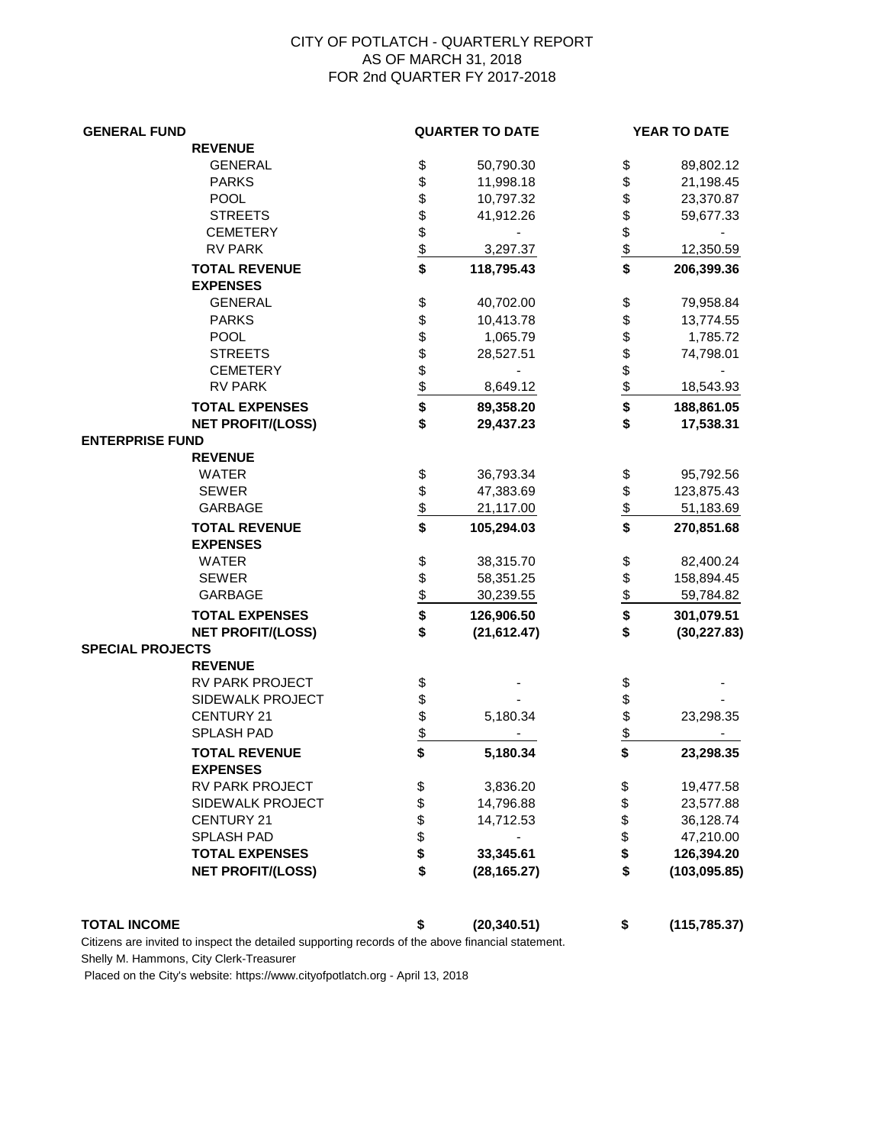## CITY OF POTLATCH - QUARTERLY REPORT AS OF MARCH 31, 2018 FOR 2nd QUARTER FY 2017-2018

| <b>GENERAL FUND</b>     |                                         |                   | <b>QUARTER TO DATE</b> |                         | YEAR TO DATE  |  |
|-------------------------|-----------------------------------------|-------------------|------------------------|-------------------------|---------------|--|
|                         | <b>REVENUE</b>                          |                   |                        |                         |               |  |
|                         | <b>GENERAL</b>                          | \$                | 50,790.30              | \$                      | 89,802.12     |  |
|                         | <b>PARKS</b>                            |                   | 11,998.18              | \$                      | 21,198.45     |  |
|                         | <b>POOL</b>                             |                   | 10,797.32              | \$                      | 23,370.87     |  |
|                         | <b>STREETS</b>                          |                   | 41,912.26              | \$                      | 59,677.33     |  |
|                         | <b>CEMETERY</b>                         |                   |                        | \$                      |               |  |
|                         | <b>RV PARK</b>                          | \$\$\$\$\$        | 3,297.37               | $\overline{\mathbf{S}}$ | 12,350.59     |  |
|                         | <b>TOTAL REVENUE</b><br><b>EXPENSES</b> | \$                | 118,795.43             | \$                      | 206,399.36    |  |
|                         | <b>GENERAL</b>                          | \$                | 40,702.00              | \$                      | 79,958.84     |  |
|                         | <b>PARKS</b>                            |                   | 10,413.78              | \$                      | 13,774.55     |  |
|                         | <b>POOL</b>                             |                   | 1,065.79               | \$                      | 1,785.72      |  |
|                         | <b>STREETS</b>                          |                   | 28,527.51              | \$                      | 74,798.01     |  |
|                         | <b>CEMETERY</b>                         |                   |                        |                         |               |  |
|                         | <b>RV PARK</b>                          | \$ \$ \$ \$ \$ \$ | 8,649.12               | $\frac{6}{3}$           | 18,543.93     |  |
|                         | <b>TOTAL EXPENSES</b>                   |                   | 89,358.20              | \$                      | 188,861.05    |  |
|                         | <b>NET PROFIT/(LOSS)</b>                | \$                | 29,437.23              | \$                      | 17,538.31     |  |
| <b>ENTERPRISE FUND</b>  |                                         |                   |                        |                         |               |  |
|                         | <b>REVENUE</b>                          |                   |                        |                         |               |  |
|                         | <b>WATER</b>                            | \$                | 36,793.34              | \$                      | 95,792.56     |  |
|                         | <b>SEWER</b>                            |                   | 47,383.69              |                         | 123,875.43    |  |
|                         | <b>GARBAGE</b>                          |                   | 21,117.00              | $\frac{6}{5}$           | 51,183.69     |  |
|                         |                                         | $\frac{1}{2}$     |                        | $\overline{\mathbf{s}}$ |               |  |
|                         | <b>TOTAL REVENUE</b><br><b>EXPENSES</b> |                   | 105,294.03             |                         | 270,851.68    |  |
|                         | <b>WATER</b>                            |                   | 38,315.70              | \$                      | 82,400.24     |  |
|                         | <b>SEWER</b>                            |                   | 58,351.25              |                         | 158,894.45    |  |
|                         | <b>GARBAGE</b>                          |                   | 30,239.55              | $\frac{6}{5}$           | 59,784.82     |  |
|                         | <b>TOTAL EXPENSES</b>                   | \$\$\$            | 126,906.50             | \$                      | 301,079.51    |  |
|                         | <b>NET PROFIT/(LOSS)</b>                | \$                | (21, 612.47)           | \$                      | (30, 227.83)  |  |
| <b>SPECIAL PROJECTS</b> | <b>REVENUE</b>                          |                   |                        |                         |               |  |
|                         | RV PARK PROJECT                         | \$                |                        | \$                      |               |  |
|                         | SIDEWALK PROJECT                        |                   |                        | \$                      |               |  |
|                         | CENTURY 21                              |                   | 5,180.34               | \$                      | 23,298.35     |  |
|                         | SPLASH PAD                              |                   |                        | $\frac{1}{2}$           |               |  |
|                         | <b>TOTAL REVENUE</b><br><b>EXPENSES</b> | \$\$\$\$          | 5,180.34               | \$                      | 23,298.35     |  |
|                         | RV PARK PROJECT                         | \$                | 3,836.20               | \$                      | 19,477.58     |  |
|                         | SIDEWALK PROJECT                        |                   | 14,796.88              | \$                      | 23,577.88     |  |
|                         | <b>CENTURY 21</b>                       |                   | 14,712.53              | \$                      | 36,128.74     |  |
|                         | <b>SPLASH PAD</b>                       | \$\$\$            |                        | \$                      | 47,210.00     |  |
|                         | <b>TOTAL EXPENSES</b>                   |                   | 33,345.61              | \$                      | 126,394.20    |  |
|                         | <b>NET PROFIT/(LOSS)</b>                | \$                | (28, 165.27)           | \$                      | (103, 095.85) |  |
| <b>TOTAL INCOME</b>     |                                         | \$                | (20, 340.51)           | \$                      | (115, 785.37) |  |

Citizens are invited to inspect the detailed supporting records of the above financial statement.

Shelly M. Hammons, City Clerk-Treasurer

Placed on the City's website: https://www.cityofpotlatch.org - April 13, 2018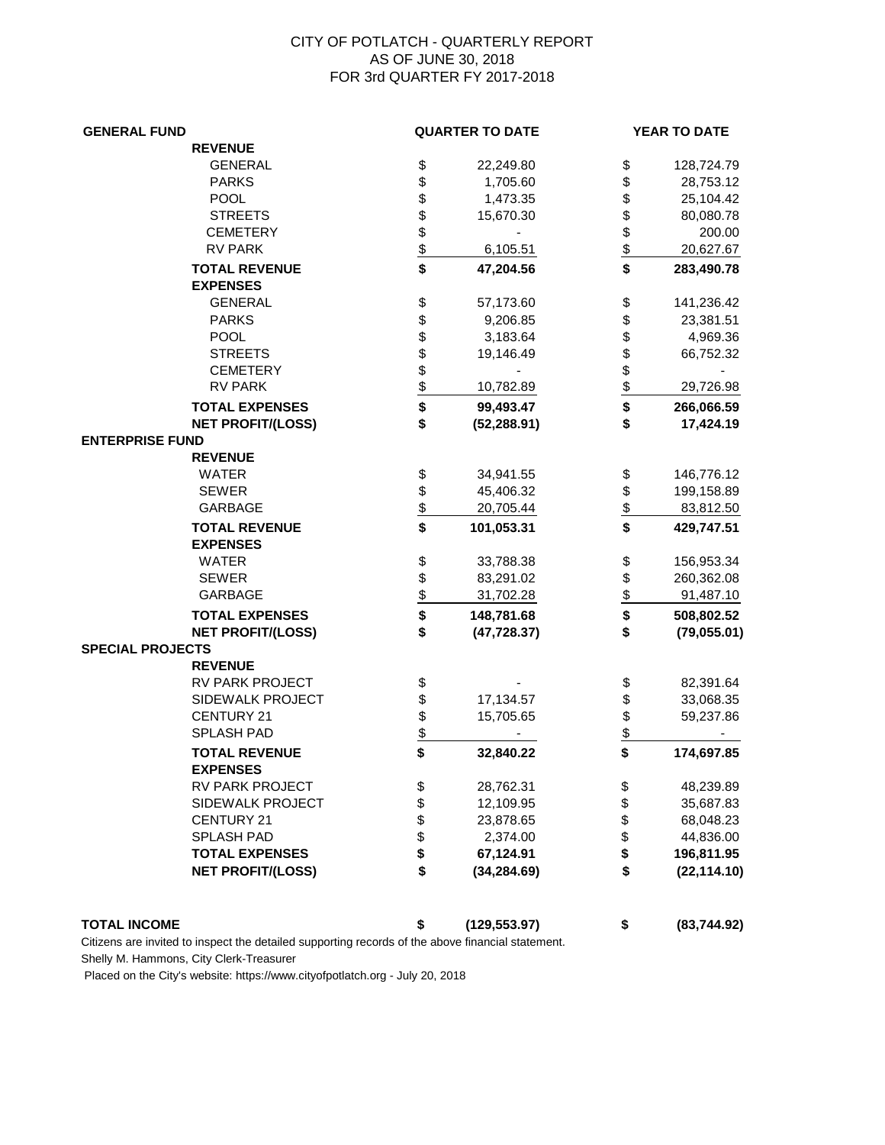## CITY OF POTLATCH - QUARTERLY REPORT AS OF JUNE 30, 2018 FOR 3rd QUARTER FY 2017-2018

| <b>REVENUE</b><br><b>GENERAL</b><br>\$<br>22,249.80<br>\$<br>128,724.79<br>\$<br>\$<br><b>PARKS</b><br>1,705.60<br>28,753.12<br>\$\$\$\$\$<br>\$<br><b>POOL</b><br>25,104.42<br>1,473.35<br>\$\$<br><b>STREETS</b><br>15,670.30<br>80,080.78<br>200.00<br><b>CEMETERY</b><br><b>RV PARK</b><br>20,627.67<br>6,105.51<br>\$<br><b>TOTAL REVENUE</b><br>47,204.56<br>283,490.78<br><b>EXPENSES</b><br>\$\$\$\$\$\$\$<br><b>GENERAL</b><br>\$<br>57,173.60<br>141,236.42<br>\$<br><b>PARKS</b><br>9,206.85<br>23,381.51<br>\$<br><b>POOL</b><br>3,183.64<br>4,969.36<br>\$\$<br><b>STREETS</b><br>66,752.32<br>19,146.49<br><b>CEMETERY</b><br><b>RV PARK</b><br>10,782.89<br>29,726.98<br>\$<br>\$<br><b>TOTAL EXPENSES</b><br>99,493.47<br>266,066.59<br>\$<br>\$<br><b>NET PROFIT/(LOSS)</b><br>(52, 288.91)<br>17,424.19<br><b>ENTERPRISE FUND</b><br><b>REVENUE</b><br>\$<br><b>WATER</b><br>34,941.55<br>\$<br>146,776.12<br>$\frac{6}{3}$<br>$\frac{6}{6}$<br><b>SEWER</b><br>45,406.32<br>199,158.89<br><b>GARBAGE</b><br>20,705.44<br>83,812.50<br>$\overline{\mathbf{s}}$<br><b>TOTAL REVENUE</b><br>101,053.31<br>429,747.51<br><b>EXPENSES</b><br>$\frac{4}{3}$<br><b>WATER</b><br>33,788.38<br>\$<br>156,953.34<br>\$<br><b>SEWER</b><br>83,291.02<br>260,362.08<br><b>GARBAGE</b><br>31,702.28<br>91,487.10<br>\$<br><b>TOTAL EXPENSES</b><br>148,781.68<br>508,802.52<br>\$<br>\$<br><b>NET PROFIT/(LOSS)</b><br>(47, 728.37)<br>(79, 055.01)<br><b>SPECIAL PROJECTS</b><br><b>REVENUE</b><br>RV PARK PROJECT<br>\$<br>82,391.64<br>\$<br>\$\$<br>\$<br>SIDEWALK PROJECT<br>17,134.57<br>33,068.35<br>$\frac{1}{2}$<br>CENTURY 21<br>15,705.65<br>59,237.86<br>SPLASH PAD<br>\$<br>\$<br><b>TOTAL REVENUE</b><br>32,840.22<br>174,697.85<br><b>EXPENSES</b><br>RV PARK PROJECT<br>\$<br>28,762.31<br>48,239.89<br>\$<br>\$\$\$<br>\$<br>SIDEWALK PROJECT<br>35,687.83<br>12,109.95<br>\$<br><b>CENTURY 21</b><br>23,878.65<br>68,048.23<br>\$<br><b>SPLASH PAD</b><br>2,374.00<br>44,836.00<br>\$<br>67,124.91<br><b>TOTAL EXPENSES</b><br>196,811.95<br>\$<br>\$<br><b>NET PROFIT/(LOSS)</b><br>(34, 284.69)<br>(22, 114.10)<br>\$<br><b>TOTAL INCOME</b><br>(129, 553.97)<br>\$<br>(83,744.92) | <b>GENERAL FUND</b> |  | <b>QUARTER TO DATE</b> |  | YEAR TO DATE |  |
|--------------------------------------------------------------------------------------------------------------------------------------------------------------------------------------------------------------------------------------------------------------------------------------------------------------------------------------------------------------------------------------------------------------------------------------------------------------------------------------------------------------------------------------------------------------------------------------------------------------------------------------------------------------------------------------------------------------------------------------------------------------------------------------------------------------------------------------------------------------------------------------------------------------------------------------------------------------------------------------------------------------------------------------------------------------------------------------------------------------------------------------------------------------------------------------------------------------------------------------------------------------------------------------------------------------------------------------------------------------------------------------------------------------------------------------------------------------------------------------------------------------------------------------------------------------------------------------------------------------------------------------------------------------------------------------------------------------------------------------------------------------------------------------------------------------------------------------------------------------------------------------------------------------------------------------------------------------------------------------------------------------------------------------------------------------------------------------------------------------------------------------------------------------------------------------------------------------|---------------------|--|------------------------|--|--------------|--|
|                                                                                                                                                                                                                                                                                                                                                                                                                                                                                                                                                                                                                                                                                                                                                                                                                                                                                                                                                                                                                                                                                                                                                                                                                                                                                                                                                                                                                                                                                                                                                                                                                                                                                                                                                                                                                                                                                                                                                                                                                                                                                                                                                                                                              |                     |  |                        |  |              |  |
|                                                                                                                                                                                                                                                                                                                                                                                                                                                                                                                                                                                                                                                                                                                                                                                                                                                                                                                                                                                                                                                                                                                                                                                                                                                                                                                                                                                                                                                                                                                                                                                                                                                                                                                                                                                                                                                                                                                                                                                                                                                                                                                                                                                                              |                     |  |                        |  |              |  |
|                                                                                                                                                                                                                                                                                                                                                                                                                                                                                                                                                                                                                                                                                                                                                                                                                                                                                                                                                                                                                                                                                                                                                                                                                                                                                                                                                                                                                                                                                                                                                                                                                                                                                                                                                                                                                                                                                                                                                                                                                                                                                                                                                                                                              |                     |  |                        |  |              |  |
|                                                                                                                                                                                                                                                                                                                                                                                                                                                                                                                                                                                                                                                                                                                                                                                                                                                                                                                                                                                                                                                                                                                                                                                                                                                                                                                                                                                                                                                                                                                                                                                                                                                                                                                                                                                                                                                                                                                                                                                                                                                                                                                                                                                                              |                     |  |                        |  |              |  |
|                                                                                                                                                                                                                                                                                                                                                                                                                                                                                                                                                                                                                                                                                                                                                                                                                                                                                                                                                                                                                                                                                                                                                                                                                                                                                                                                                                                                                                                                                                                                                                                                                                                                                                                                                                                                                                                                                                                                                                                                                                                                                                                                                                                                              |                     |  |                        |  |              |  |
|                                                                                                                                                                                                                                                                                                                                                                                                                                                                                                                                                                                                                                                                                                                                                                                                                                                                                                                                                                                                                                                                                                                                                                                                                                                                                                                                                                                                                                                                                                                                                                                                                                                                                                                                                                                                                                                                                                                                                                                                                                                                                                                                                                                                              |                     |  |                        |  |              |  |
|                                                                                                                                                                                                                                                                                                                                                                                                                                                                                                                                                                                                                                                                                                                                                                                                                                                                                                                                                                                                                                                                                                                                                                                                                                                                                                                                                                                                                                                                                                                                                                                                                                                                                                                                                                                                                                                                                                                                                                                                                                                                                                                                                                                                              |                     |  |                        |  |              |  |
|                                                                                                                                                                                                                                                                                                                                                                                                                                                                                                                                                                                                                                                                                                                                                                                                                                                                                                                                                                                                                                                                                                                                                                                                                                                                                                                                                                                                                                                                                                                                                                                                                                                                                                                                                                                                                                                                                                                                                                                                                                                                                                                                                                                                              |                     |  |                        |  |              |  |
|                                                                                                                                                                                                                                                                                                                                                                                                                                                                                                                                                                                                                                                                                                                                                                                                                                                                                                                                                                                                                                                                                                                                                                                                                                                                                                                                                                                                                                                                                                                                                                                                                                                                                                                                                                                                                                                                                                                                                                                                                                                                                                                                                                                                              |                     |  |                        |  |              |  |
|                                                                                                                                                                                                                                                                                                                                                                                                                                                                                                                                                                                                                                                                                                                                                                                                                                                                                                                                                                                                                                                                                                                                                                                                                                                                                                                                                                                                                                                                                                                                                                                                                                                                                                                                                                                                                                                                                                                                                                                                                                                                                                                                                                                                              |                     |  |                        |  |              |  |
|                                                                                                                                                                                                                                                                                                                                                                                                                                                                                                                                                                                                                                                                                                                                                                                                                                                                                                                                                                                                                                                                                                                                                                                                                                                                                                                                                                                                                                                                                                                                                                                                                                                                                                                                                                                                                                                                                                                                                                                                                                                                                                                                                                                                              |                     |  |                        |  |              |  |
|                                                                                                                                                                                                                                                                                                                                                                                                                                                                                                                                                                                                                                                                                                                                                                                                                                                                                                                                                                                                                                                                                                                                                                                                                                                                                                                                                                                                                                                                                                                                                                                                                                                                                                                                                                                                                                                                                                                                                                                                                                                                                                                                                                                                              |                     |  |                        |  |              |  |
|                                                                                                                                                                                                                                                                                                                                                                                                                                                                                                                                                                                                                                                                                                                                                                                                                                                                                                                                                                                                                                                                                                                                                                                                                                                                                                                                                                                                                                                                                                                                                                                                                                                                                                                                                                                                                                                                                                                                                                                                                                                                                                                                                                                                              |                     |  |                        |  |              |  |
|                                                                                                                                                                                                                                                                                                                                                                                                                                                                                                                                                                                                                                                                                                                                                                                                                                                                                                                                                                                                                                                                                                                                                                                                                                                                                                                                                                                                                                                                                                                                                                                                                                                                                                                                                                                                                                                                                                                                                                                                                                                                                                                                                                                                              |                     |  |                        |  |              |  |
|                                                                                                                                                                                                                                                                                                                                                                                                                                                                                                                                                                                                                                                                                                                                                                                                                                                                                                                                                                                                                                                                                                                                                                                                                                                                                                                                                                                                                                                                                                                                                                                                                                                                                                                                                                                                                                                                                                                                                                                                                                                                                                                                                                                                              |                     |  |                        |  |              |  |
|                                                                                                                                                                                                                                                                                                                                                                                                                                                                                                                                                                                                                                                                                                                                                                                                                                                                                                                                                                                                                                                                                                                                                                                                                                                                                                                                                                                                                                                                                                                                                                                                                                                                                                                                                                                                                                                                                                                                                                                                                                                                                                                                                                                                              |                     |  |                        |  |              |  |
|                                                                                                                                                                                                                                                                                                                                                                                                                                                                                                                                                                                                                                                                                                                                                                                                                                                                                                                                                                                                                                                                                                                                                                                                                                                                                                                                                                                                                                                                                                                                                                                                                                                                                                                                                                                                                                                                                                                                                                                                                                                                                                                                                                                                              |                     |  |                        |  |              |  |
|                                                                                                                                                                                                                                                                                                                                                                                                                                                                                                                                                                                                                                                                                                                                                                                                                                                                                                                                                                                                                                                                                                                                                                                                                                                                                                                                                                                                                                                                                                                                                                                                                                                                                                                                                                                                                                                                                                                                                                                                                                                                                                                                                                                                              |                     |  |                        |  |              |  |
|                                                                                                                                                                                                                                                                                                                                                                                                                                                                                                                                                                                                                                                                                                                                                                                                                                                                                                                                                                                                                                                                                                                                                                                                                                                                                                                                                                                                                                                                                                                                                                                                                                                                                                                                                                                                                                                                                                                                                                                                                                                                                                                                                                                                              |                     |  |                        |  |              |  |
|                                                                                                                                                                                                                                                                                                                                                                                                                                                                                                                                                                                                                                                                                                                                                                                                                                                                                                                                                                                                                                                                                                                                                                                                                                                                                                                                                                                                                                                                                                                                                                                                                                                                                                                                                                                                                                                                                                                                                                                                                                                                                                                                                                                                              |                     |  |                        |  |              |  |
|                                                                                                                                                                                                                                                                                                                                                                                                                                                                                                                                                                                                                                                                                                                                                                                                                                                                                                                                                                                                                                                                                                                                                                                                                                                                                                                                                                                                                                                                                                                                                                                                                                                                                                                                                                                                                                                                                                                                                                                                                                                                                                                                                                                                              |                     |  |                        |  |              |  |
|                                                                                                                                                                                                                                                                                                                                                                                                                                                                                                                                                                                                                                                                                                                                                                                                                                                                                                                                                                                                                                                                                                                                                                                                                                                                                                                                                                                                                                                                                                                                                                                                                                                                                                                                                                                                                                                                                                                                                                                                                                                                                                                                                                                                              |                     |  |                        |  |              |  |
|                                                                                                                                                                                                                                                                                                                                                                                                                                                                                                                                                                                                                                                                                                                                                                                                                                                                                                                                                                                                                                                                                                                                                                                                                                                                                                                                                                                                                                                                                                                                                                                                                                                                                                                                                                                                                                                                                                                                                                                                                                                                                                                                                                                                              |                     |  |                        |  |              |  |
|                                                                                                                                                                                                                                                                                                                                                                                                                                                                                                                                                                                                                                                                                                                                                                                                                                                                                                                                                                                                                                                                                                                                                                                                                                                                                                                                                                                                                                                                                                                                                                                                                                                                                                                                                                                                                                                                                                                                                                                                                                                                                                                                                                                                              |                     |  |                        |  |              |  |
|                                                                                                                                                                                                                                                                                                                                                                                                                                                                                                                                                                                                                                                                                                                                                                                                                                                                                                                                                                                                                                                                                                                                                                                                                                                                                                                                                                                                                                                                                                                                                                                                                                                                                                                                                                                                                                                                                                                                                                                                                                                                                                                                                                                                              |                     |  |                        |  |              |  |
|                                                                                                                                                                                                                                                                                                                                                                                                                                                                                                                                                                                                                                                                                                                                                                                                                                                                                                                                                                                                                                                                                                                                                                                                                                                                                                                                                                                                                                                                                                                                                                                                                                                                                                                                                                                                                                                                                                                                                                                                                                                                                                                                                                                                              |                     |  |                        |  |              |  |
|                                                                                                                                                                                                                                                                                                                                                                                                                                                                                                                                                                                                                                                                                                                                                                                                                                                                                                                                                                                                                                                                                                                                                                                                                                                                                                                                                                                                                                                                                                                                                                                                                                                                                                                                                                                                                                                                                                                                                                                                                                                                                                                                                                                                              |                     |  |                        |  |              |  |
|                                                                                                                                                                                                                                                                                                                                                                                                                                                                                                                                                                                                                                                                                                                                                                                                                                                                                                                                                                                                                                                                                                                                                                                                                                                                                                                                                                                                                                                                                                                                                                                                                                                                                                                                                                                                                                                                                                                                                                                                                                                                                                                                                                                                              |                     |  |                        |  |              |  |
|                                                                                                                                                                                                                                                                                                                                                                                                                                                                                                                                                                                                                                                                                                                                                                                                                                                                                                                                                                                                                                                                                                                                                                                                                                                                                                                                                                                                                                                                                                                                                                                                                                                                                                                                                                                                                                                                                                                                                                                                                                                                                                                                                                                                              |                     |  |                        |  |              |  |
|                                                                                                                                                                                                                                                                                                                                                                                                                                                                                                                                                                                                                                                                                                                                                                                                                                                                                                                                                                                                                                                                                                                                                                                                                                                                                                                                                                                                                                                                                                                                                                                                                                                                                                                                                                                                                                                                                                                                                                                                                                                                                                                                                                                                              |                     |  |                        |  |              |  |
|                                                                                                                                                                                                                                                                                                                                                                                                                                                                                                                                                                                                                                                                                                                                                                                                                                                                                                                                                                                                                                                                                                                                                                                                                                                                                                                                                                                                                                                                                                                                                                                                                                                                                                                                                                                                                                                                                                                                                                                                                                                                                                                                                                                                              |                     |  |                        |  |              |  |
|                                                                                                                                                                                                                                                                                                                                                                                                                                                                                                                                                                                                                                                                                                                                                                                                                                                                                                                                                                                                                                                                                                                                                                                                                                                                                                                                                                                                                                                                                                                                                                                                                                                                                                                                                                                                                                                                                                                                                                                                                                                                                                                                                                                                              |                     |  |                        |  |              |  |
|                                                                                                                                                                                                                                                                                                                                                                                                                                                                                                                                                                                                                                                                                                                                                                                                                                                                                                                                                                                                                                                                                                                                                                                                                                                                                                                                                                                                                                                                                                                                                                                                                                                                                                                                                                                                                                                                                                                                                                                                                                                                                                                                                                                                              |                     |  |                        |  |              |  |
|                                                                                                                                                                                                                                                                                                                                                                                                                                                                                                                                                                                                                                                                                                                                                                                                                                                                                                                                                                                                                                                                                                                                                                                                                                                                                                                                                                                                                                                                                                                                                                                                                                                                                                                                                                                                                                                                                                                                                                                                                                                                                                                                                                                                              |                     |  |                        |  |              |  |
|                                                                                                                                                                                                                                                                                                                                                                                                                                                                                                                                                                                                                                                                                                                                                                                                                                                                                                                                                                                                                                                                                                                                                                                                                                                                                                                                                                                                                                                                                                                                                                                                                                                                                                                                                                                                                                                                                                                                                                                                                                                                                                                                                                                                              |                     |  |                        |  |              |  |
|                                                                                                                                                                                                                                                                                                                                                                                                                                                                                                                                                                                                                                                                                                                                                                                                                                                                                                                                                                                                                                                                                                                                                                                                                                                                                                                                                                                                                                                                                                                                                                                                                                                                                                                                                                                                                                                                                                                                                                                                                                                                                                                                                                                                              |                     |  |                        |  |              |  |
|                                                                                                                                                                                                                                                                                                                                                                                                                                                                                                                                                                                                                                                                                                                                                                                                                                                                                                                                                                                                                                                                                                                                                                                                                                                                                                                                                                                                                                                                                                                                                                                                                                                                                                                                                                                                                                                                                                                                                                                                                                                                                                                                                                                                              |                     |  |                        |  |              |  |
|                                                                                                                                                                                                                                                                                                                                                                                                                                                                                                                                                                                                                                                                                                                                                                                                                                                                                                                                                                                                                                                                                                                                                                                                                                                                                                                                                                                                                                                                                                                                                                                                                                                                                                                                                                                                                                                                                                                                                                                                                                                                                                                                                                                                              |                     |  |                        |  |              |  |
|                                                                                                                                                                                                                                                                                                                                                                                                                                                                                                                                                                                                                                                                                                                                                                                                                                                                                                                                                                                                                                                                                                                                                                                                                                                                                                                                                                                                                                                                                                                                                                                                                                                                                                                                                                                                                                                                                                                                                                                                                                                                                                                                                                                                              |                     |  |                        |  |              |  |
|                                                                                                                                                                                                                                                                                                                                                                                                                                                                                                                                                                                                                                                                                                                                                                                                                                                                                                                                                                                                                                                                                                                                                                                                                                                                                                                                                                                                                                                                                                                                                                                                                                                                                                                                                                                                                                                                                                                                                                                                                                                                                                                                                                                                              |                     |  |                        |  |              |  |
|                                                                                                                                                                                                                                                                                                                                                                                                                                                                                                                                                                                                                                                                                                                                                                                                                                                                                                                                                                                                                                                                                                                                                                                                                                                                                                                                                                                                                                                                                                                                                                                                                                                                                                                                                                                                                                                                                                                                                                                                                                                                                                                                                                                                              |                     |  |                        |  |              |  |
|                                                                                                                                                                                                                                                                                                                                                                                                                                                                                                                                                                                                                                                                                                                                                                                                                                                                                                                                                                                                                                                                                                                                                                                                                                                                                                                                                                                                                                                                                                                                                                                                                                                                                                                                                                                                                                                                                                                                                                                                                                                                                                                                                                                                              |                     |  |                        |  |              |  |
|                                                                                                                                                                                                                                                                                                                                                                                                                                                                                                                                                                                                                                                                                                                                                                                                                                                                                                                                                                                                                                                                                                                                                                                                                                                                                                                                                                                                                                                                                                                                                                                                                                                                                                                                                                                                                                                                                                                                                                                                                                                                                                                                                                                                              |                     |  |                        |  |              |  |
|                                                                                                                                                                                                                                                                                                                                                                                                                                                                                                                                                                                                                                                                                                                                                                                                                                                                                                                                                                                                                                                                                                                                                                                                                                                                                                                                                                                                                                                                                                                                                                                                                                                                                                                                                                                                                                                                                                                                                                                                                                                                                                                                                                                                              |                     |  |                        |  |              |  |
|                                                                                                                                                                                                                                                                                                                                                                                                                                                                                                                                                                                                                                                                                                                                                                                                                                                                                                                                                                                                                                                                                                                                                                                                                                                                                                                                                                                                                                                                                                                                                                                                                                                                                                                                                                                                                                                                                                                                                                                                                                                                                                                                                                                                              |                     |  |                        |  |              |  |
|                                                                                                                                                                                                                                                                                                                                                                                                                                                                                                                                                                                                                                                                                                                                                                                                                                                                                                                                                                                                                                                                                                                                                                                                                                                                                                                                                                                                                                                                                                                                                                                                                                                                                                                                                                                                                                                                                                                                                                                                                                                                                                                                                                                                              |                     |  |                        |  |              |  |

Citizens are invited to inspect the detailed supporting records of the above financial statement.

Shelly M. Hammons, City Clerk-Treasurer

Placed on the City's website: https://www.cityofpotlatch.org - July 20, 2018